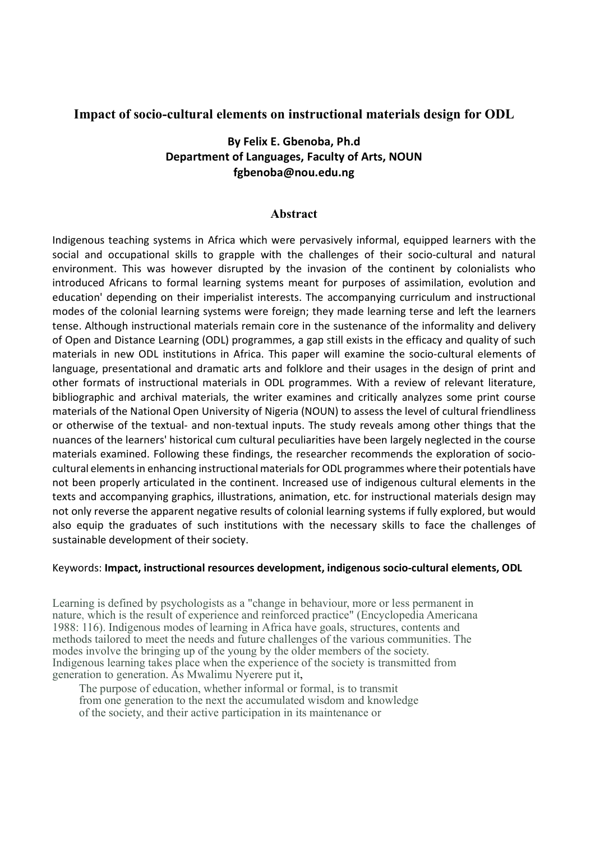# Impact of socio-cultural elements on instructional materials design for ODL

# By Felix E. Gbenoba, Ph.d Department of Languages, Faculty of Arts, NOUN fgbenoba@nou.edu.ng

## Abstract

Indigenous teaching systems in Africa which were pervasively informal, equipped learners with the social and occupational skills to grapple with the challenges of their socio-cultural and natural environment. This was however disrupted by the invasion of the continent by colonialists who introduced Africans to formal learning systems meant for purposes of assimilation, evolution and education' depending on their imperialist interests. The accompanying curriculum and instructional modes of the colonial learning systems were foreign; they made learning terse and left the learners tense. Although instructional materials remain core in the sustenance of the informality and delivery of Open and Distance Learning (ODL) programmes, a gap still exists in the efficacy and quality of such materials in new ODL institutions in Africa. This paper will examine the socio-cultural elements of language, presentational and dramatic arts and folklore and their usages in the design of print and other formats of instructional materials in ODL programmes. With a review of relevant literature, bibliographic and archival materials, the writer examines and critically analyzes some print course materials of the National Open University of Nigeria (NOUN) to assess the level of cultural friendliness or otherwise of the textual- and non-textual inputs. The study reveals among other things that the nuances of the learners' historical cum cultural peculiarities have been largely neglected in the course materials examined. Following these findings, the researcher recommends the exploration of sociocultural elements in enhancing instructional materials for ODL programmes where their potentials have not been properly articulated in the continent. Increased use of indigenous cultural elements in the texts and accompanying graphics, illustrations, animation, etc. for instructional materials design may not only reverse the apparent negative results of colonial learning systems if fully explored, but would also equip the graduates of such institutions with the necessary skills to face the challenges of sustainable development of their society.

### Keywords: Impact, instructional resources development, indigenous socio-cultural elements, ODL

Learning is defined by psychologists as a "change in behaviour, more or less permanent in nature, which is the result of experience and reinforced practice" (Encyclopedia Americana 1988: 116). Indigenous modes of learning in Africa have goals, structures, contents and methods tailored to meet the needs and future challenges of the various communities. The modes involve the bringing up of the young by the older members of the society. Indigenous learning takes place when the experience of the society is transmitted from generation to generation. As Mwalimu Nyerere put it,

The purpose of education, whether informal or formal, is to transmit from one generation to the next the accumulated wisdom and knowledge of the society, and their active participation in its maintenance or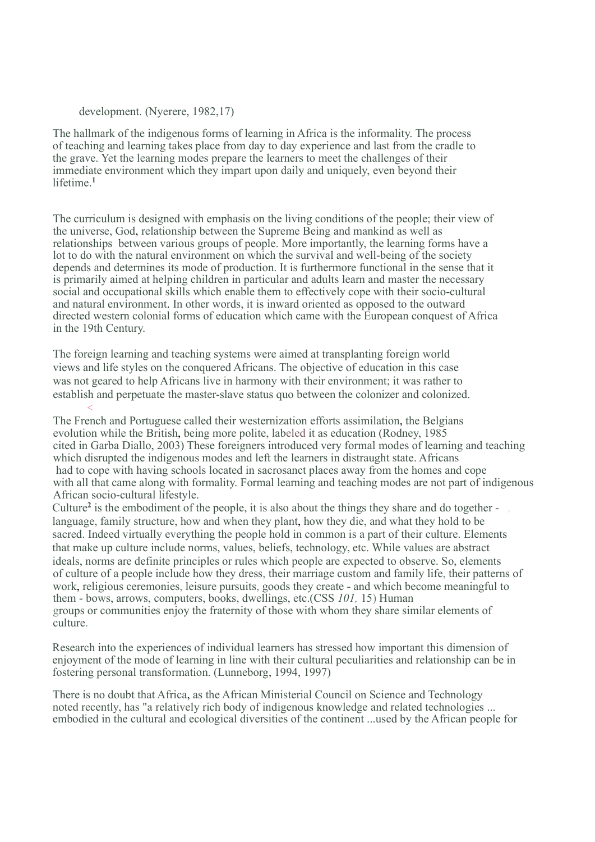development. (Nyerere, 1982,17)

The hallmark of the indigenous forms of learning in Africa is the informality. The process of teaching and learning takes place from day to day experience and last from the cradle to the grave. Yet the learning modes prepare the learners to meet the challenges of their immediate environment which they impart upon daily and uniquely, even beyond their lifetime.<sup>1</sup>

The curriculum is designed with emphasis on the living conditions of the people; their view of the universe, God, relationship between the Supreme Being and mankind as well as relationships between various groups of people. More importantly, the learning forms have a lot to do with the natural environment on which the survival and well-being of the society depends and determines its mode of production. It is furthermore functional in the sense that it is primarily aimed at helping children in particular and adults learn and master the necessary social and occupational skills which enable them to effectively cope with their socio-cultural and natural environment. In other words, it is inward oriented as opposed to the outward directed western colonial forms of education which came with the European conquest of Africa in the 19th Century.

The foreign learning and teaching systems were aimed at transplanting foreign world views and life styles on the conquered Africans. The objective of education in this case was not geared to help Africans live in harmony with their environment; it was rather to establish and perpetuate the master-slave status quo between the colonizer and colonized.  $\prec$  and the contract of the contract of the contract of the contract of the contract of the contract of the contract of the contract of the contract of the contract of the contract of the contract of the contract of the

The French and Portuguese called their westernization efforts assimilation, the Belgians evolution while the British, being more polite, labeled it as education (Rodney, 1985 cited in Garba Diallo, 2003) These foreigners introduced very formal modes of learning and teaching which disrupted the indigenous modes and left the learners in distraught state. Africans had to cope with having schools located in sacrosanct places away from the homes and cope with all that came along with formality. Formal learning and teaching modes are not part of indigenous African socio-cultural lifestyle.

Culture<sup>2</sup> is the embodiment of the people, it is also about the things they share and do together language, family structure, how and when they plant, how they die, and what they hold to be sacred. Indeed virtually everything the people hold in common is a part of their culture. Elements that make up culture include norms, values, beliefs, technology, etc. While values are abstract ideals, norms are definite principles or rules which people are expected to observe. So, elements of culture of a people include how they dress, their marriage custom and family life, their patterns of work, religious ceremonies, leisure pursuits, goods they create - and which become meaningful to them - bows, arrows, computers, books, dwellings, etc.(CSS 101, 15) Human groups or communities enjoy the fraternity of those with whom they share similar elements of culture.

Research into the experiences of individual learners has stressed how important this dimension of enjoyment of the mode of learning in line with their cultural peculiarities and relationship can be in fostering personal transformation. (Lunneborg, 1994, 1997)

There is no doubt that Africa, as the African Ministerial Council on Science and Technology noted recently, has "a relatively rich body of indigenous knowledge and related technologies ... embodied in the cultural and ecological diversities of the continent ...used by the African people for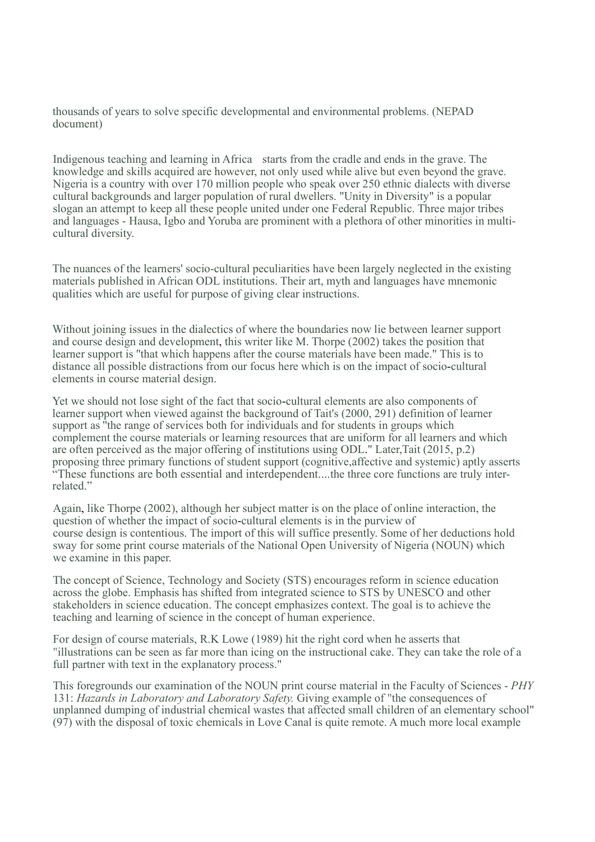thousands of years to solve specific developmental and environmental problems. (NEPAD document)

Indigenous teaching and learning in Africa starts from the cradle and ends in the grave. The knowledge and skills acquired are however, not only used while alive but even beyond the grave. Nigeria is a country with over 170 million people who speak over 250 ethnic dialects with diverse cultural backgrounds and larger population of rural dwellers. "Unity in Diversity" is a popular slogan an attempt to keep all these people united under one Federal Republic. Three major tribes and languages - Hausa, Igbo and Yoruba are prominent with a plethora of other minorities in multicultural diversity.

The nuances of the learners' socio-cultural peculiarities have been largely neglected in the existing materials published in African ODL institutions. Their art, myth and languages have mnemonic qualities which are useful for purpose of giving clear instructions.

Without joining issues in the dialectics of where the boundaries now lie between learner support and course design and development, this writer like M. Thorpe (2002) takes the position that learner support is ''that which happens after the course materials have been made." This is to distance all possible distractions from our focus here which is on the impact of socio-cultural elements in course material design.

Yet we should not lose sight of the fact that socio-cultural elements are also components of learner support when viewed against the background of Tait's (2000, 291) definition of learner support as "the range of services both for individuals and for students in groups which complement the course materials or learning resources that are uniform for all learners and which are often perceived as the major offering of institutions using ODL." Later,Tait (2015, p.2) proposing three primary functions of student support (cognitive,affective and systemic) aptly asserts "These functions are both essential and interdependent....the three core functions are truly interrelated."

Again, like Thorpe (2002), although her subject matter is on the place of online interaction, the question of whether the impact of socio-cultural elements is in the purview of course design is contentious. The import of this will suffice presently. Some of her deductions hold sway for some print course materials of the National Open University of Nigeria (NOUN) which we examine in this paper.

The concept of Science, Technology and Society (STS) encourages reform in science education across the globe. Emphasis has shifted from integrated science to STS by UNESCO and other stakeholders in science education. The concept emphasizes context. The goal is to achieve the teaching and learning of science in the concept of human experience.

For design of course materials, R.K Lowe (1989) hit the right cord when he asserts that "illustrations can be seen as far more than icing on the instructional cake. They can take the role of a full partner with text in the explanatory process."

This foregrounds our examination of the NOUN print course material in the Faculty of Sciences - PHY 131: Hazards in Laboratory and Laboratory Safety. Giving example of "the consequences of unplanned dumping of industrial chemical wastes that affected small children of an elementary school"  $(97)$  with the disposal of toxic chemicals in Love Canal is quite remote. A much more local example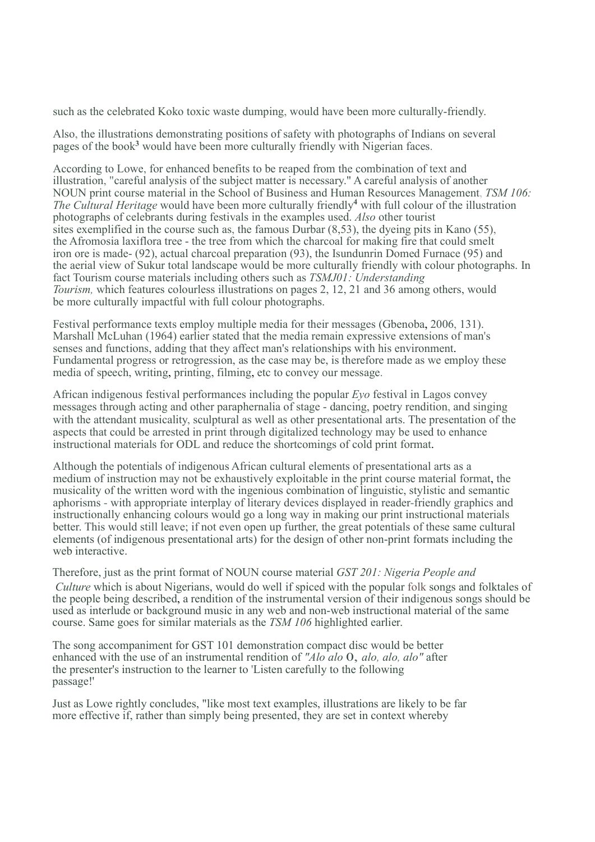such as the celebrated Koko toxic waste dumping, would have been more culturally-friendly.

Also, the illustrations demonstrating positions of safety with photographs of Indians on several pages of the book<sup>3</sup> would have been more culturally friendly with Nigerian faces.

According to Lowe, for enhanced benefits to be reaped from the combination of text and illustration, "careful analysis of the subject matter is necessary." A careful analysis of another NOUN print course material in the School of Business and Human Resources Management, TSM 106: The Cultural Heritage would have been more culturally friendly<sup>4</sup> with full colour of the illustration photographs of celebrants during festivals in the examples used. Also other tourist sites exemplified in the course such as, the famous Durbar (8,53), the dyeing pits in Kano (55), the Afromosia laxiflora tree - the tree from which the charcoal for making fire that could smelt iron ore is made- (92), actual charcoal preparation (93), the Isundunrin Domed Furnace (95) and the aerial view of Sukur total landscape would be more culturally friendly with colour photographs. In fact Tourism course materials including others such as TSMJ01: Understanding Tourism, which features colourless illustrations on pages 2, 12, 21 and 36 among others, would be more culturally impactful with full colour photographs.

Festival performance texts employ multiple media for their messages (Gbenoba, 2006, 131). Marshall McLuhan (1964) earlier stated that the media remain expressive extensions of man's senses and functions, adding that they affect man's relationships with his environment. Fundamental progress or retrogression, as the case may be, is therefore made as we employ these media of speech, writing, printing, filming, etc to convey our message.

African indigenous festival performances including the popular Eyo festival in Lagos convey messages through acting and other paraphernalia of stage - dancing, poetry rendition, and singing with the attendant musicality, sculptural as well as other presentational arts. The presentation of the aspects that could be arrested in print through digitalized technology may be used to enhance instructional materials for ODL and reduce the shortcomings of cold print format.

Although the potentials of indigenous African cultural elements of presentational arts as a medium of instruction may not be exhaustively exploitable in the print course material format, the musicality of the written word with the ingenious combination of linguistic, stylistic and semantic aphorisms - with appropriate interplay of literary devices displayed in reader-friendly graphics and instructionally enhancing colours would go a long way in making our print instructional materials better. This would still leave; if not even open up further, the great potentials of these same cultural elements (of indigenous presentational arts) for the design of other non-print formats including the web interactive.

Therefore, just as the print format of NOUN course material GST 201: Nigeria People and Culture which is about Nigerians, would do well if spiced with the popular folk songs and folktales of the people being described, a rendition of the instrumental version of their indigenous songs should be used as interlude or background music in any web and non-web instructional material of the same course. Same goes for similar materials as the TSM 106 highlighted earlier.

The song accompaniment for GST 101 demonstration compact disc would be better enhanced with the use of an instrumental rendition of "Alo alo 0, alo, alo, alo" after the presenter's instruction to the learner to 'Listen carefully to the following passage!'

Just as Lowe rightly concludes, "like most text examples, illustrations are likely to be far more effective if, rather than simply being presented, they are set in context whereby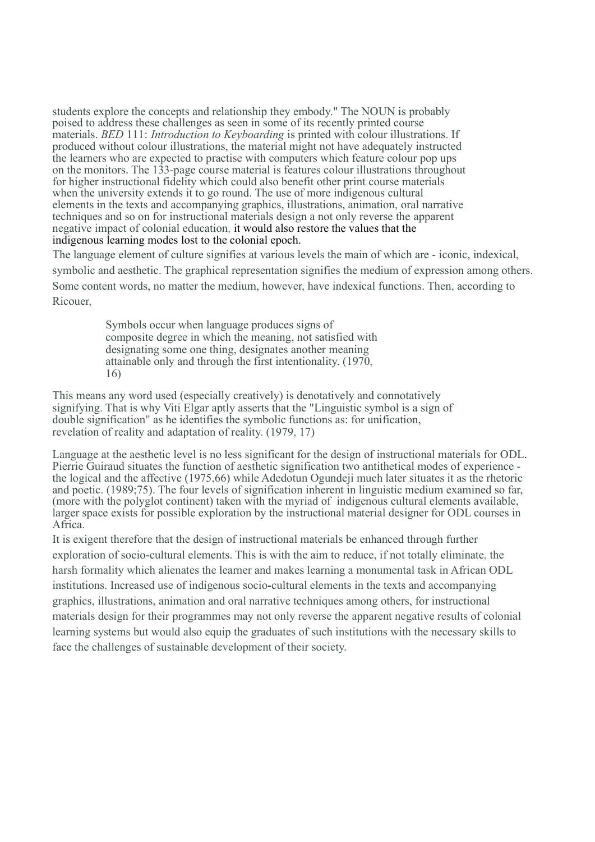students explore the concepts and relationship they embody." The NOUN is probably poised to address these challenges as seen in some of its recently printed course materials. BED 111: Introduction to Keyboarding is printed with colour illustrations. If produced without colour illustrations, the material might not have adequately instructed the learners who are expected to practise with computers which feature colour pop ups on the monitors. The 133-page course material is features colour illustrations throughout for higher instructional fidelity which could also benefit other print course materials when the university extends it to go round. The use of more indigenous cultural elements in the texts and accompanying graphics, illustrations, animation, oral narrative techniques and so on for instructional materials design a not only reverse the apparent negative impact of colonial education, it would also restore the values that the indigenous learning modes lost to the colonial epoch.

The language element of culture signifies at various levels the main of which are - iconic, indexical, symbolic and aesthetic. The graphical representation signifies the medium of expression among others. Some content words, no matter the medium, however, have indexical functions. Then, according to Ricouer,

> Symbols occur when language produces signs of composite degree in which the meaning, not satisfied with designating some one thing, designates another meaning attainable only and through the first intentionality. (1970, 16)

This means any word used (especially creatively) is denotatively and connotatively signifying. That is why Viti Elgar aptly asserts that the "Linguistic symbol is a sign of double signification" as he identifies the symbolic functions as: for unification, revelation of reality and adaptation of reality. (1979, 17)

Language at the aesthetic level is no less significant for the design of instructional materials for ODL. Pierrie Guiraud situates the function of aesthetic signification two antithetical modes of experience the logical and the affective (1975,66) while Adedotun Ogundeji much later situates it as the rhetoric and poetic. (1989;75). The four levels of signification inherent in linguistic medium examined so far, (more with the polyglot continent) taken with the myriad of indigenous cultural elements available, larger space exists for possible exploration by the instructional material designer for ODL courses in Africa.

It is exigent therefore that the design of instructional materials be enhanced through further exploration of socio-cultural elements. This is with the aim to reduce, if not totally eliminate, the harsh formality which alienates the learner and makes learning a monumental task in African ODL institutions. Increased use of indigenous socio-cultural elements in the texts and accompanying graphics, illustrations, animation and oral narrative techniques among others, for instructional materials design for their programmes may not only reverse the apparent negative results of colonial learning systems but would also equip the graduates of such institutions with the necessary skills to face the challenges of sustainable development of their society.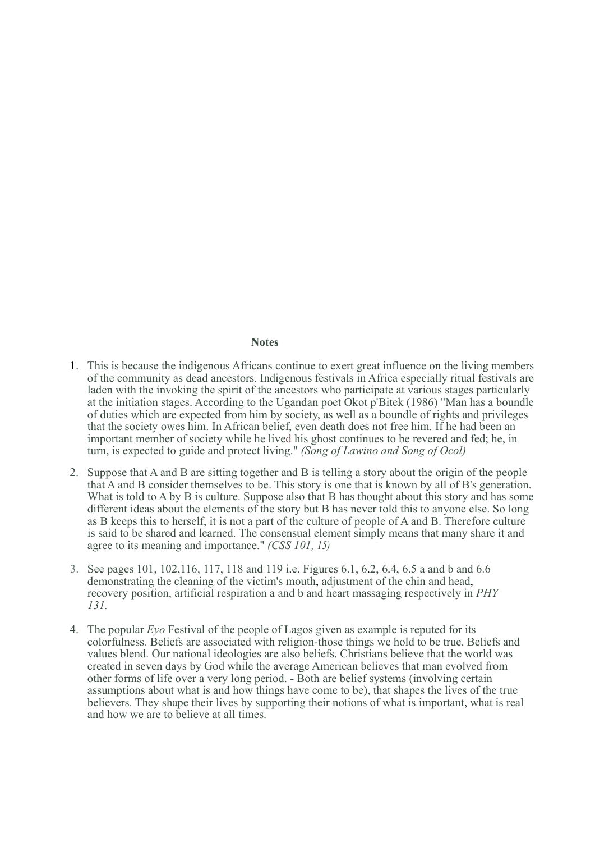#### **Notes**

- 1. This is because the indigenous Africans continue to exert great influence on the living members of the community as dead ancestors. Indigenous festivals in Africa especially ritual festivals are laden with the invoking the spirit of the ancestors who participate at various stages particularly at the initiation stages. According to the Ugandan poet Okot p'Bitek (1986) "Man has a boundle of duties which are expected from him by society, as well as a boundle of rights and privileges that the society owes him. In African belief, even death does not free him. If he had been an important member of society while he lived his ghost continues to be revered and fed; he, in turn, is expected to guide and protect living." (Song of Lawino and Song of Ocol)
- 2. Suppose that A and B are sitting together and B is telling a story about the origin of the people that A and B consider themselves to be. This story is one that is known by all of B's generation. What is told to A by B is culture. Suppose also that B has thought about this story and has some different ideas about the elements of the story but B has never told this to anyone else. So long as B keeps this to herself, it is not a part of the culture of people of A and B. Therefore culture is said to be shared and learned. The consensual element simply means that many share it and agree to its meaning and importance." (CSS 101, 15)
- 3. See pages 101, 102,116, 117, 118 and 119 i.e. Figures 6.1, 6.2, 6.4, 6.5 a and b and 6.6 demonstrating the cleaning of the victim's mouth, adjustment of the chin and head, recovery position, artificial respiration a and b and heart massaging respectively in PHY 131.
- 4. The popular  $Eyo$  Festival of the people of Lagos given as example is reputed for its colorfulness. Beliefs are associated with religion-those things we hold to be true. Beliefs and values blend. Our national ideologies are also beliefs. Christians believe that the world was created in seven days by God while the average American believes that man evolved from other forms of life over a very long period. - Both are belief systems (involving certain assumptions about what is and how things have come to be), that shapes the lives of the true believers. They shape their lives by supporting their notions of what is important, what is real and how we are to believe at all times.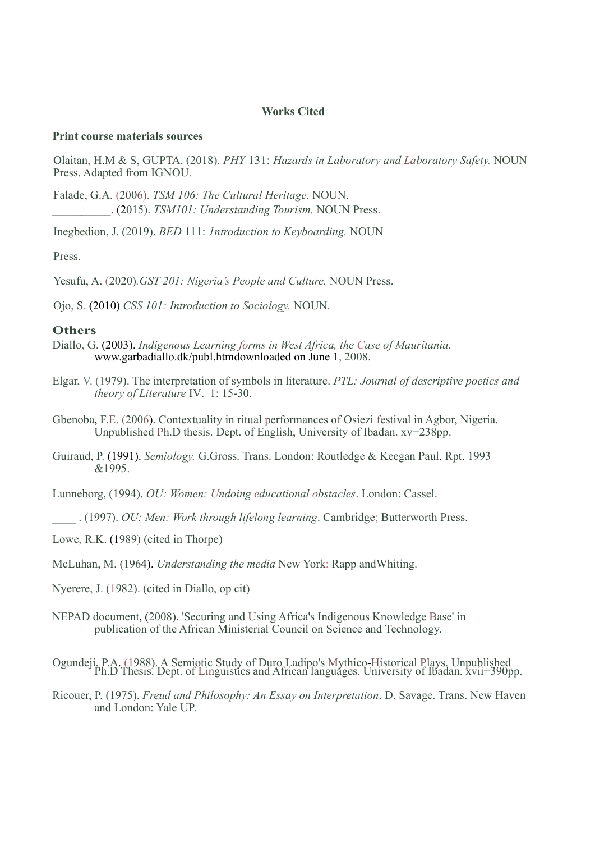### Works Cited

## Print course materials sources

Olaitan, H.M & S, GUPTA. (2018). PHY 131: Hazards in Laboratory and Laboratory Safety. NOUN Press. Adapted from IGNOU.

Falade, G.A. (2006). TSM 106: The Cultural Heritage. NOUN. \_\_\_\_\_\_\_\_\_\_. (2015). TSM101: Understanding Tourism. NOUN Press.

Inegbedion, J. (2019). BED 111: 1ntroduction to Keyboarding. NOUN

Press.

Yesufu, A. (2020). GST 201: Nigeria's People and Culture. NOUN Press.

Ojo, S. (2010) CSS 101: Introduction to Sociology. NOUN.

#### **Others**

- Diallo, G. (2003). Indigenous Learning forms in West Africa, the Case of Mauritania. www.garbadiallo.dk/publ.htmdownloaded on June 1, 2008.
- Elgar, V. (1979). The interpretation of symbols in literature. PTL: Journal of descriptive poetics and theory of Literature IV. 1: 15-30.
- Gbenoba, F.E. (2006). Contextuality in ritual performances of Osiezi festival in Agbor, Nigeria. Unpublished Ph.D thesis. Dept. of English, University of Ibadan. xv+238pp.
- Guiraud, P. (1991). Semiology. G.Gross. Trans. London: Routledge & Keegan Paul. Rpt. 1993  $&1995$ .

Lunneborg, (1994). OU: Women: Undoing educational obstacles. London: Cassel.

\_\_\_\_ . (1997). OU: Men: Work through lifelong learning. Cambridge; Butterworth Press.

Lowe, R.K. (1989) (cited in Thorpe)

McLuhan, M. (1964). Understanding the media New York: Rapp andWhiting.

Nyerere, J. (1982). (cited in Diallo, op cit)

NEPAD document, (2008). 'Securing and Using Africa's Indigenous Knowledge Base' in publication of the African Ministerial Council on Science and Technology.

Ogundeji, P.A. (1988). A Semiotic Study of Duro Ladipo's Mythico-Historical Plays. Unpublished Ph.D Thesis. Dept. of Linguistics and African languages, University of Ibadan. xvii+390pp.

Ricouer, P. (1975). Freud and Philosophy: An Essay on Interpretation. D. Savage. Trans. New Haven and London: Yale UP.